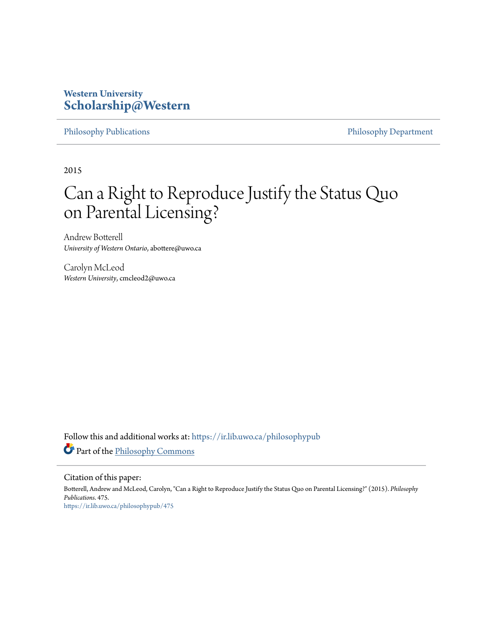# **Western University [Scholarship@Western](https://ir.lib.uwo.ca?utm_source=ir.lib.uwo.ca%2Fphilosophypub%2F475&utm_medium=PDF&utm_campaign=PDFCoverPages)**

[Philosophy Publications](https://ir.lib.uwo.ca/philosophypub?utm_source=ir.lib.uwo.ca%2Fphilosophypub%2F475&utm_medium=PDF&utm_campaign=PDFCoverPages) [Philosophy Department](https://ir.lib.uwo.ca/philosophy?utm_source=ir.lib.uwo.ca%2Fphilosophypub%2F475&utm_medium=PDF&utm_campaign=PDFCoverPages)

2015

# Can a Right to Reproduce Justify the Status Quo on Parental Licensing?

Andrew Botterell *University of Western Ontario*, abottere@uwo.ca

Carolyn McLeod *Western University*, cmcleod2@uwo.ca

Follow this and additional works at: [https://ir.lib.uwo.ca/philosophypub](https://ir.lib.uwo.ca/philosophypub?utm_source=ir.lib.uwo.ca%2Fphilosophypub%2F475&utm_medium=PDF&utm_campaign=PDFCoverPages) Part of the [Philosophy Commons](http://network.bepress.com/hgg/discipline/525?utm_source=ir.lib.uwo.ca%2Fphilosophypub%2F475&utm_medium=PDF&utm_campaign=PDFCoverPages)

Citation of this paper:

Botterell, Andrew and McLeod, Carolyn, "Can a Right to Reproduce Justify the Status Quo on Parental Licensing?" (2015). *Philosophy Publications*. 475. [https://ir.lib.uwo.ca/philosophypub/475](https://ir.lib.uwo.ca/philosophypub/475?utm_source=ir.lib.uwo.ca%2Fphilosophypub%2F475&utm_medium=PDF&utm_campaign=PDFCoverPages)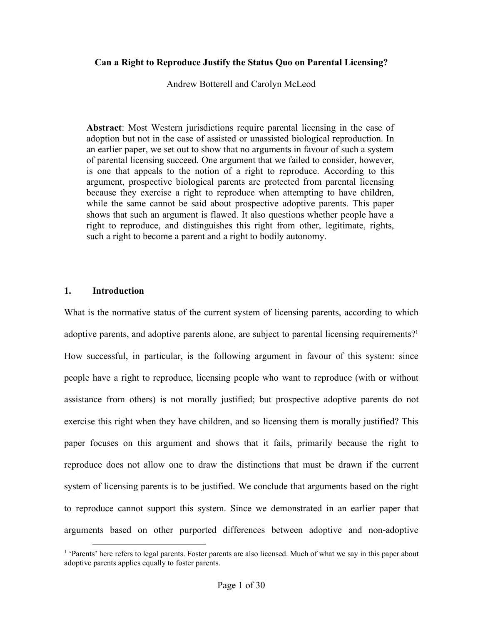# **Can a Right to Reproduce Justify the Status Quo on Parental Licensing?**

Andrew Botterell and Carolyn McLeod

**Abstract**: Most Western jurisdictions require parental licensing in the case of adoption but not in the case of assisted or unassisted biological reproduction. In an earlier paper, we set out to show that no arguments in favour of such a system of parental licensing succeed. One argument that we failed to consider, however, is one that appeals to the notion of a right to reproduce. According to this argument, prospective biological parents are protected from parental licensing because they exercise a right to reproduce when attempting to have children, while the same cannot be said about prospective adoptive parents. This paper shows that such an argument is flawed. It also questions whether people have a right to reproduce, and distinguishes this right from other, legitimate, rights, such a right to become a parent and a right to bodily autonomy.

# **1. Introduction**

What is the normative status of the current system of licensing parents, according to which adoptive parents, and adoptive parents alone, are subject to parental licensing requirements?<sup>1</sup> How successful, in particular, is the following argument in favour of this system: since people have a right to reproduce, licensing people who want to reproduce (with or without assistance from others) is not morally justified; but prospective adoptive parents do not exercise this right when they have children, and so licensing them is morally justified? This paper focuses on this argument and shows that it fails, primarily because the right to reproduce does not allow one to draw the distinctions that must be drawn if the current system of licensing parents is to be justified. We conclude that arguments based on the right to reproduce cannot support this system. Since we demonstrated in an earlier paper that arguments based on other purported differences between adoptive and non-adoptive

<sup>&</sup>lt;sup>1</sup> 'Parents' here refers to legal parents. Foster parents are also licensed. Much of what we say in this paper about adoptive parents applies equally to foster parents.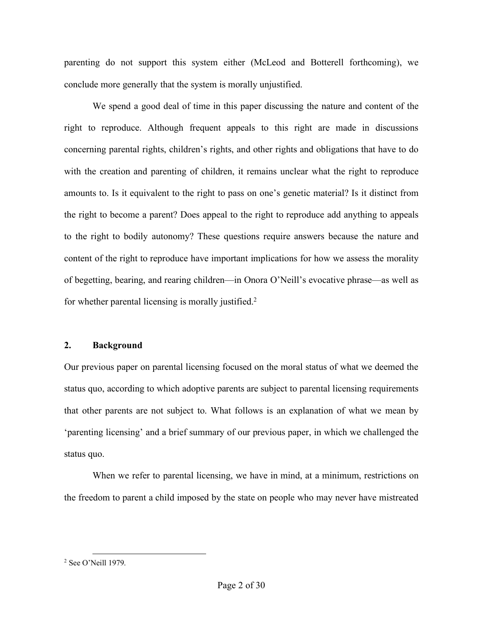parenting do not support this system either (McLeod and Botterell forthcoming), we conclude more generally that the system is morally unjustified.

We spend a good deal of time in this paper discussing the nature and content of the right to reproduce. Although frequent appeals to this right are made in discussions concerning parental rights, children's rights, and other rights and obligations that have to do with the creation and parenting of children, it remains unclear what the right to reproduce amounts to. Is it equivalent to the right to pass on one's genetic material? Is it distinct from the right to become a parent? Does appeal to the right to reproduce add anything to appeals to the right to bodily autonomy? These questions require answers because the nature and content of the right to reproduce have important implications for how we assess the morality of begetting, bearing, and rearing children—in Onora O'Neill's evocative phrase—as well as for whether parental licensing is morally justified.<sup>2</sup>

# **2. Background**

Our previous paper on parental licensing focused on the moral status of what we deemed the status quo, according to which adoptive parents are subject to parental licensing requirements that other parents are not subject to. What follows is an explanation of what we mean by 'parenting licensing' and a brief summary of our previous paper, in which we challenged the status quo.

When we refer to parental licensing, we have in mind, at a minimum, restrictions on the freedom to parent a child imposed by the state on people who may never have mistreated

 <sup>2</sup> See O'Neill 1979.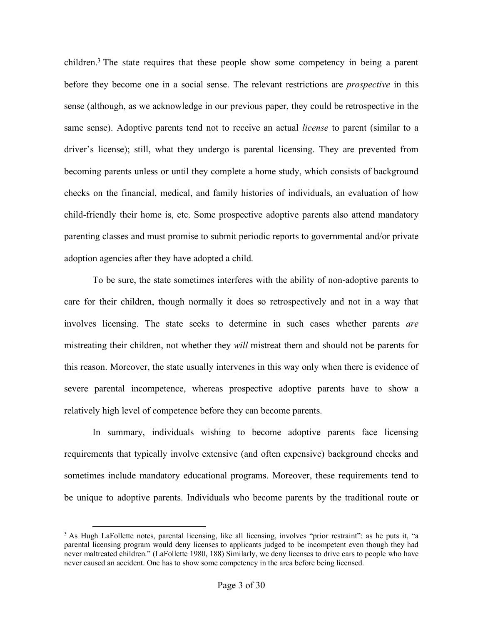children.<sup>3</sup> The state requires that these people show some competency in being a parent before they become one in a social sense. The relevant restrictions are *prospective* in this sense (although, as we acknowledge in our previous paper, they could be retrospective in the same sense). Adoptive parents tend not to receive an actual *license* to parent (similar to a driver's license); still, what they undergo is parental licensing. They are prevented from becoming parents unless or until they complete a home study, which consists of background checks on the financial, medical, and family histories of individuals, an evaluation of how child-friendly their home is, etc. Some prospective adoptive parents also attend mandatory parenting classes and must promise to submit periodic reports to governmental and/or private adoption agencies after they have adopted a child.

To be sure, the state sometimes interferes with the ability of non-adoptive parents to care for their children, though normally it does so retrospectively and not in a way that involves licensing. The state seeks to determine in such cases whether parents *are* mistreating their children, not whether they *will* mistreat them and should not be parents for this reason. Moreover, the state usually intervenes in this way only when there is evidence of severe parental incompetence, whereas prospective adoptive parents have to show a relatively high level of competence before they can become parents.

In summary, individuals wishing to become adoptive parents face licensing requirements that typically involve extensive (and often expensive) background checks and sometimes include mandatory educational programs. Moreover, these requirements tend to be unique to adoptive parents. Individuals who become parents by the traditional route or

<sup>&</sup>lt;sup>3</sup> As Hugh LaFollette notes, parental licensing, like all licensing, involves "prior restraint": as he puts it, "a parental licensing program would deny licenses to applicants judged to be incompetent even though they had never maltreated children." (LaFollette 1980, 188) Similarly, we deny licenses to drive cars to people who have never caused an accident. One has to show some competency in the area before being licensed.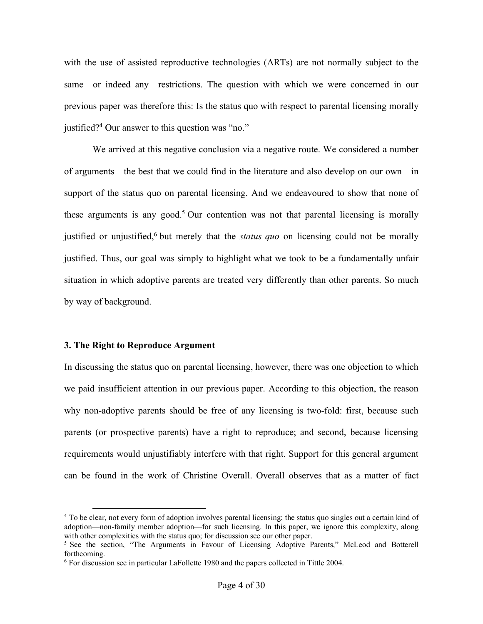with the use of assisted reproductive technologies (ARTs) are not normally subject to the same—or indeed any—restrictions. The question with which we were concerned in our previous paper was therefore this: Is the status quo with respect to parental licensing morally justified?4 Our answer to this question was "no."

We arrived at this negative conclusion via a negative route. We considered a number of arguments—the best that we could find in the literature and also develop on our own—in support of the status quo on parental licensing. And we endeavoured to show that none of these arguments is any good.<sup>5</sup> Our contention was not that parental licensing is morally justified or unjustified,<sup>6</sup> but merely that the *status quo* on licensing could not be morally justified. Thus, our goal was simply to highlight what we took to be a fundamentally unfair situation in which adoptive parents are treated very differently than other parents. So much by way of background.

#### **3. The Right to Reproduce Argument**

In discussing the status quo on parental licensing, however, there was one objection to which we paid insufficient attention in our previous paper. According to this objection, the reason why non-adoptive parents should be free of any licensing is two-fold: first, because such parents (or prospective parents) have a right to reproduce; and second, because licensing requirements would unjustifiably interfere with that right. Support for this general argument can be found in the work of Christine Overall. Overall observes that as a matter of fact

 <sup>4</sup> To be clear, not every form of adoption involves parental licensing; the status quo singles out a certain kind of adoption—non-family member adoption—for such licensing. In this paper, we ignore this complexity, along with other complexities with the status quo; for discussion see our other paper.<br><sup>5</sup> See the section, "The Arguments in Favour of Licensing Adoptive Parents," McLeod and Botterell

forthcoming.

<sup>6</sup> For discussion see in particular LaFollette 1980 and the papers collected in Tittle 2004.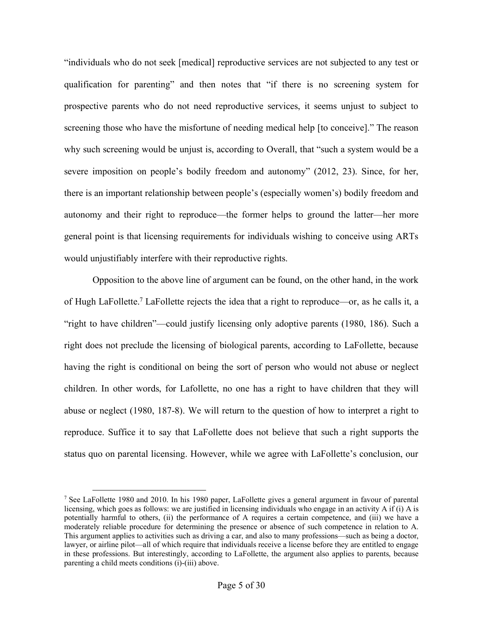"individuals who do not seek [medical] reproductive services are not subjected to any test or qualification for parenting" and then notes that "if there is no screening system for prospective parents who do not need reproductive services, it seems unjust to subject to screening those who have the misfortune of needing medical help [to conceive]." The reason why such screening would be unjust is, according to Overall, that "such a system would be a severe imposition on people's bodily freedom and autonomy" (2012, 23). Since, for her, there is an important relationship between people's (especially women's) bodily freedom and autonomy and their right to reproduce—the former helps to ground the latter—her more general point is that licensing requirements for individuals wishing to conceive using ARTs would unjustifiably interfere with their reproductive rights.

Opposition to the above line of argument can be found, on the other hand, in the work of Hugh LaFollette.7 LaFollette rejects the idea that a right to reproduce—or, as he calls it, a "right to have children"—could justify licensing only adoptive parents (1980, 186). Such a right does not preclude the licensing of biological parents, according to LaFollette, because having the right is conditional on being the sort of person who would not abuse or neglect children. In other words, for Lafollette, no one has a right to have children that they will abuse or neglect (1980, 187-8). We will return to the question of how to interpret a right to reproduce. Suffice it to say that LaFollette does not believe that such a right supports the status quo on parental licensing. However, while we agree with LaFollette's conclusion, our

<sup>&</sup>lt;sup>7</sup> See LaFollette 1980 and 2010. In his 1980 paper, LaFollette gives a general argument in favour of parental licensing, which goes as follows: we are justified in licensing individuals who engage in an activity A if (i) A is potentially harmful to others, (ii) the performance of A requires a certain competence, and (iii) we have a moderately reliable procedure for determining the presence or absence of such competence in relation to A. This argument applies to activities such as driving a car, and also to many professions—such as being a doctor, lawyer, or airline pilot—all of which require that individuals receive a license before they are entitled to engage in these professions. But interestingly, according to LaFollette, the argument also applies to parents, because parenting a child meets conditions (i)-(iii) above.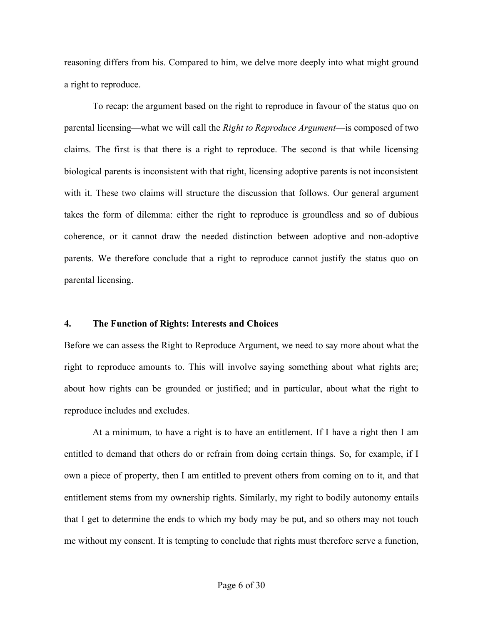reasoning differs from his. Compared to him, we delve more deeply into what might ground a right to reproduce.

To recap: the argument based on the right to reproduce in favour of the status quo on parental licensing—what we will call the *Right to Reproduce Argument*—is composed of two claims. The first is that there is a right to reproduce. The second is that while licensing biological parents is inconsistent with that right, licensing adoptive parents is not inconsistent with it. These two claims will structure the discussion that follows. Our general argument takes the form of dilemma: either the right to reproduce is groundless and so of dubious coherence, or it cannot draw the needed distinction between adoptive and non-adoptive parents. We therefore conclude that a right to reproduce cannot justify the status quo on parental licensing.

# **4. The Function of Rights: Interests and Choices**

Before we can assess the Right to Reproduce Argument, we need to say more about what the right to reproduce amounts to. This will involve saying something about what rights are; about how rights can be grounded or justified; and in particular, about what the right to reproduce includes and excludes.

At a minimum, to have a right is to have an entitlement. If I have a right then I am entitled to demand that others do or refrain from doing certain things. So, for example, if I own a piece of property, then I am entitled to prevent others from coming on to it, and that entitlement stems from my ownership rights. Similarly, my right to bodily autonomy entails that I get to determine the ends to which my body may be put, and so others may not touch me without my consent. It is tempting to conclude that rights must therefore serve a function,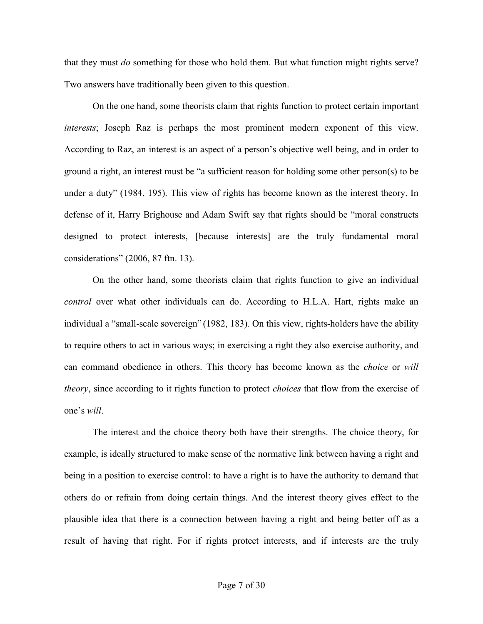that they must *do* something for those who hold them. But what function might rights serve? Two answers have traditionally been given to this question.

On the one hand, some theorists claim that rights function to protect certain important *interests*; Joseph Raz is perhaps the most prominent modern exponent of this view. According to Raz, an interest is an aspect of a person's objective well being, and in order to ground a right, an interest must be "a sufficient reason for holding some other person(s) to be under a duty" (1984, 195). This view of rights has become known as the interest theory. In defense of it, Harry Brighouse and Adam Swift say that rights should be "moral constructs designed to protect interests, [because interests] are the truly fundamental moral considerations" (2006, 87 ftn. 13).

On the other hand, some theorists claim that rights function to give an individual *control* over what other individuals can do. According to H.L.A. Hart, rights make an individual a "small-scale sovereign" (1982, 183). On this view, rights-holders have the ability to require others to act in various ways; in exercising a right they also exercise authority, and can command obedience in others. This theory has become known as the *choice* or *will theory*, since according to it rights function to protect *choices* that flow from the exercise of one's *will*.

The interest and the choice theory both have their strengths. The choice theory, for example, is ideally structured to make sense of the normative link between having a right and being in a position to exercise control: to have a right is to have the authority to demand that others do or refrain from doing certain things. And the interest theory gives effect to the plausible idea that there is a connection between having a right and being better off as a result of having that right. For if rights protect interests, and if interests are the truly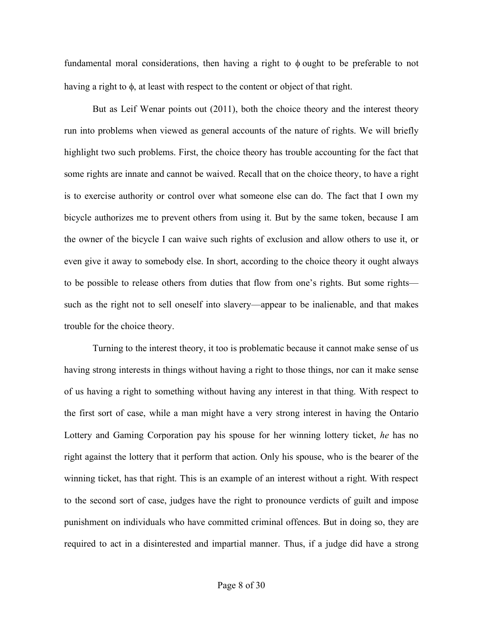fundamental moral considerations, then having a right to  $\phi$  ought to be preferable to not having a right to  $\phi$ , at least with respect to the content or object of that right.

But as Leif Wenar points out (2011), both the choice theory and the interest theory run into problems when viewed as general accounts of the nature of rights. We will briefly highlight two such problems. First, the choice theory has trouble accounting for the fact that some rights are innate and cannot be waived. Recall that on the choice theory, to have a right is to exercise authority or control over what someone else can do. The fact that I own my bicycle authorizes me to prevent others from using it. But by the same token, because I am the owner of the bicycle I can waive such rights of exclusion and allow others to use it, or even give it away to somebody else. In short, according to the choice theory it ought always to be possible to release others from duties that flow from one's rights. But some rights such as the right not to sell oneself into slavery—appear to be inalienable, and that makes trouble for the choice theory.

Turning to the interest theory, it too is problematic because it cannot make sense of us having strong interests in things without having a right to those things, nor can it make sense of us having a right to something without having any interest in that thing. With respect to the first sort of case, while a man might have a very strong interest in having the Ontario Lottery and Gaming Corporation pay his spouse for her winning lottery ticket, *he* has no right against the lottery that it perform that action. Only his spouse, who is the bearer of the winning ticket, has that right. This is an example of an interest without a right. With respect to the second sort of case, judges have the right to pronounce verdicts of guilt and impose punishment on individuals who have committed criminal offences. But in doing so, they are required to act in a disinterested and impartial manner. Thus, if a judge did have a strong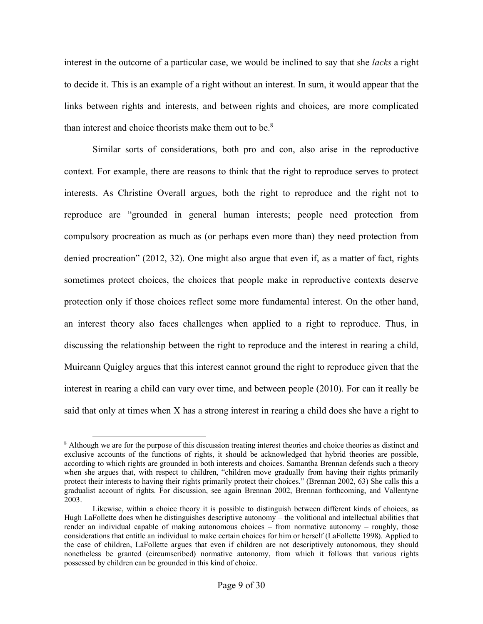interest in the outcome of a particular case, we would be inclined to say that she *lacks* a right to decide it. This is an example of a right without an interest. In sum, it would appear that the links between rights and interests, and between rights and choices, are more complicated than interest and choice theorists make them out to be.<sup>8</sup>

Similar sorts of considerations, both pro and con, also arise in the reproductive context. For example, there are reasons to think that the right to reproduce serves to protect interests. As Christine Overall argues, both the right to reproduce and the right not to reproduce are "grounded in general human interests; people need protection from compulsory procreation as much as (or perhaps even more than) they need protection from denied procreation" (2012, 32). One might also argue that even if, as a matter of fact, rights sometimes protect choices, the choices that people make in reproductive contexts deserve protection only if those choices reflect some more fundamental interest. On the other hand, an interest theory also faces challenges when applied to a right to reproduce. Thus, in discussing the relationship between the right to reproduce and the interest in rearing a child, Muireann Quigley argues that this interest cannot ground the right to reproduce given that the interest in rearing a child can vary over time, and between people (2010). For can it really be said that only at times when X has a strong interest in rearing a child does she have a right to

<sup>&</sup>lt;sup>8</sup> Although we are for the purpose of this discussion treating interest theories and choice theories as distinct and exclusive accounts of the functions of rights, it should be acknowledged that hybrid theories are possible, according to which rights are grounded in both interests and choices. Samantha Brennan defends such a theory when she argues that, with respect to children, "children move gradually from having their rights primarily protect their interests to having their rights primarily protect their choices." (Brennan 2002, 63) She calls this a gradualist account of rights. For discussion, see again Brennan 2002, Brennan forthcoming, and Vallentyne 2003.

Likewise, within a choice theory it is possible to distinguish between different kinds of choices, as Hugh LaFollette does when he distinguishes descriptive autonomy – the volitional and intellectual abilities that render an individual capable of making autonomous choices – from normative autonomy – roughly, those considerations that entitle an individual to make certain choices for him or herself (LaFollette 1998). Applied to the case of children, LaFollette argues that even if children are not descriptively autonomous, they should nonetheless be granted (circumscribed) normative autonomy, from which it follows that various rights possessed by children can be grounded in this kind of choice.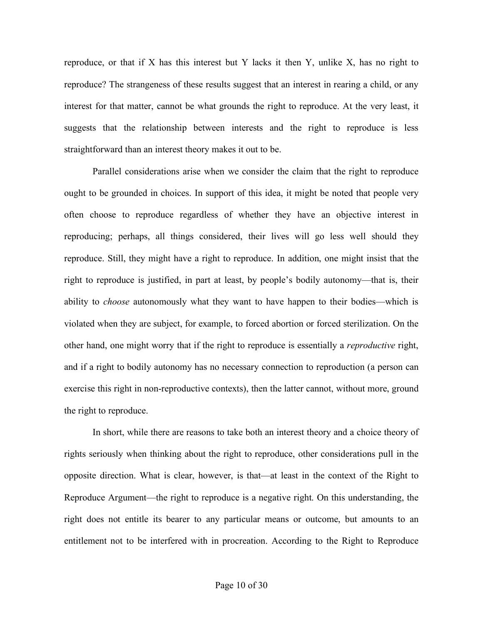reproduce, or that if X has this interest but Y lacks it then Y, unlike X, has no right to reproduce? The strangeness of these results suggest that an interest in rearing a child, or any interest for that matter, cannot be what grounds the right to reproduce. At the very least, it suggests that the relationship between interests and the right to reproduce is less straightforward than an interest theory makes it out to be.

Parallel considerations arise when we consider the claim that the right to reproduce ought to be grounded in choices. In support of this idea, it might be noted that people very often choose to reproduce regardless of whether they have an objective interest in reproducing; perhaps, all things considered, their lives will go less well should they reproduce. Still, they might have a right to reproduce. In addition, one might insist that the right to reproduce is justified, in part at least, by people's bodily autonomy—that is, their ability to *choose* autonomously what they want to have happen to their bodies—which is violated when they are subject, for example, to forced abortion or forced sterilization. On the other hand, one might worry that if the right to reproduce is essentially a *reproductive* right, and if a right to bodily autonomy has no necessary connection to reproduction (a person can exercise this right in non-reproductive contexts), then the latter cannot, without more, ground the right to reproduce.

In short, while there are reasons to take both an interest theory and a choice theory of rights seriously when thinking about the right to reproduce, other considerations pull in the opposite direction. What is clear, however, is that—at least in the context of the Right to Reproduce Argument—the right to reproduce is a negative right. On this understanding, the right does not entitle its bearer to any particular means or outcome, but amounts to an entitlement not to be interfered with in procreation. According to the Right to Reproduce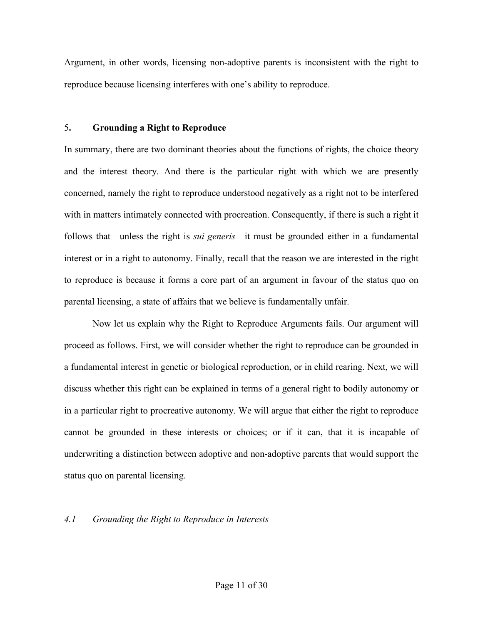Argument, in other words, licensing non-adoptive parents is inconsistent with the right to reproduce because licensing interferes with one's ability to reproduce.

# 5**. Grounding a Right to Reproduce**

In summary, there are two dominant theories about the functions of rights, the choice theory and the interest theory. And there is the particular right with which we are presently concerned, namely the right to reproduce understood negatively as a right not to be interfered with in matters intimately connected with procreation. Consequently, if there is such a right it follows that—unless the right is *sui generis*—it must be grounded either in a fundamental interest or in a right to autonomy. Finally, recall that the reason we are interested in the right to reproduce is because it forms a core part of an argument in favour of the status quo on parental licensing, a state of affairs that we believe is fundamentally unfair.

Now let us explain why the Right to Reproduce Arguments fails. Our argument will proceed as follows. First, we will consider whether the right to reproduce can be grounded in a fundamental interest in genetic or biological reproduction, or in child rearing. Next, we will discuss whether this right can be explained in terms of a general right to bodily autonomy or in a particular right to procreative autonomy. We will argue that either the right to reproduce cannot be grounded in these interests or choices; or if it can, that it is incapable of underwriting a distinction between adoptive and non-adoptive parents that would support the status quo on parental licensing.

# *4.1 Grounding the Right to Reproduce in Interests*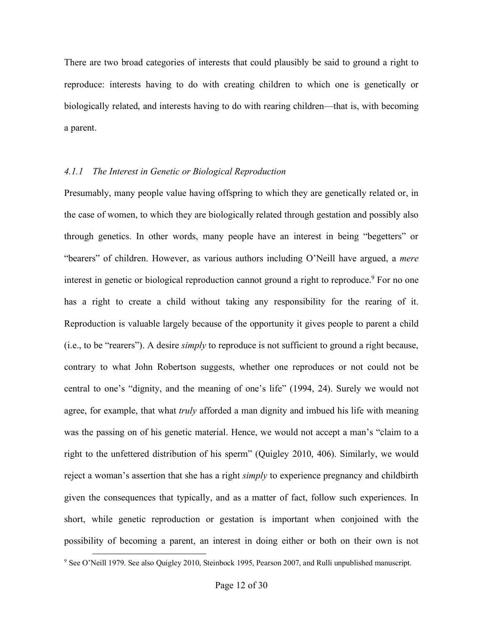There are two broad categories of interests that could plausibly be said to ground a right to reproduce: interests having to do with creating children to which one is genetically or biologically related, and interests having to do with rearing children—that is, with becoming a parent.

#### *4.1.1 The Interest in Genetic or Biological Reproduction*

Presumably, many people value having offspring to which they are genetically related or, in the case of women, to which they are biologically related through gestation and possibly also through genetics. In other words, many people have an interest in being "begetters" or "bearers" of children. However, as various authors including O'Neill have argued, a *mere* interest in genetic or biological reproduction cannot ground a right to reproduce.<sup>9</sup> For no one has a right to create a child without taking any responsibility for the rearing of it. Reproduction is valuable largely because of the opportunity it gives people to parent a child (i.e., to be "rearers"). A desire *simply* to reproduce is not sufficient to ground a right because, contrary to what John Robertson suggests, whether one reproduces or not could not be central to one's "dignity, and the meaning of one's life" (1994, 24). Surely we would not agree, for example, that what *truly* afforded a man dignity and imbued his life with meaning was the passing on of his genetic material. Hence, we would not accept a man's "claim to a right to the unfettered distribution of his sperm" (Quigley 2010, 406). Similarly, we would reject a woman's assertion that she has a right *simply* to experience pregnancy and childbirth given the consequences that typically, and as a matter of fact, follow such experiences. In short, while genetic reproduction or gestation is important when conjoined with the possibility of becoming a parent, an interest in doing either or both on their own is not

<sup>&</sup>lt;sup>9</sup> See O'Neill 1979. See also Quigley 2010, Steinbock 1995, Pearson 2007, and Rulli unpublished manuscript.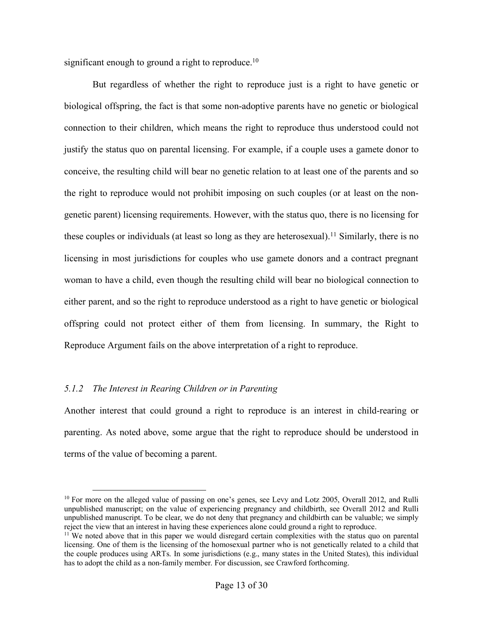significant enough to ground a right to reproduce.<sup>10</sup>

But regardless of whether the right to reproduce just is a right to have genetic or biological offspring, the fact is that some non-adoptive parents have no genetic or biological connection to their children, which means the right to reproduce thus understood could not justify the status quo on parental licensing. For example, if a couple uses a gamete donor to conceive, the resulting child will bear no genetic relation to at least one of the parents and so the right to reproduce would not prohibit imposing on such couples (or at least on the nongenetic parent) licensing requirements. However, with the status quo, there is no licensing for these couples or individuals (at least so long as they are heterosexual).<sup>11</sup> Similarly, there is no licensing in most jurisdictions for couples who use gamete donors and a contract pregnant woman to have a child, even though the resulting child will bear no biological connection to either parent, and so the right to reproduce understood as a right to have genetic or biological offspring could not protect either of them from licensing. In summary, the Right to Reproduce Argument fails on the above interpretation of a right to reproduce.

# *5.1.2 The Interest in Rearing Children or in Parenting*

Another interest that could ground a right to reproduce is an interest in child-rearing or parenting. As noted above, some argue that the right to reproduce should be understood in terms of the value of becoming a parent.

<sup>&</sup>lt;sup>10</sup> For more on the alleged value of passing on one's genes, see Levy and Lotz 2005, Overall 2012, and Rulli unpublished manuscript; on the value of experiencing pregnancy and childbirth, see Overall 2012 and Rulli unpublished manuscript. To be clear, we do not deny that pregnancy and childbirth can be valuable; we simply reject the view that an interest in having these experiences alone could ground a right to reproduce.

<sup>&</sup>lt;sup>11</sup> We noted above that in this paper we would disregard certain complexities with the status quo on parental licensing. One of them is the licensing of the homosexual partner who is not genetically related to a child that the couple produces using ARTs. In some jurisdictions (e.g., many states in the United States), this individual has to adopt the child as a non-family member. For discussion, see Crawford forthcoming.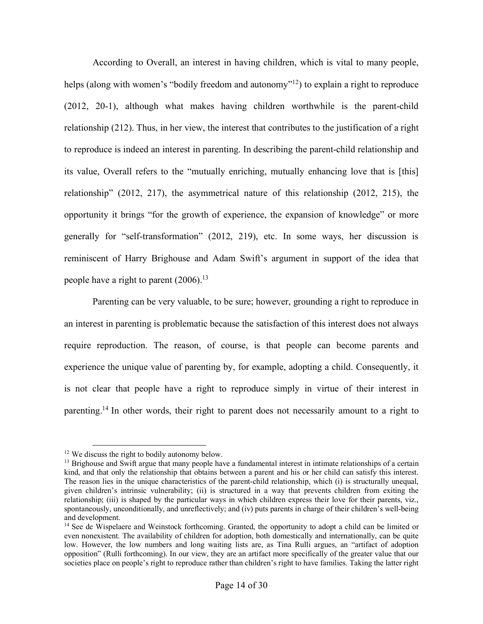According to Overall, an interest in having children, which is vital to many people, helps (along with women's "bodily freedom and autonomy"<sup>12</sup>) to explain a right to reproduce (2012, 20-1), although what makes having children worthwhile is the parent-child relationship (212). Thus, in her view, the interest that contributes to the justification of a right to reproduce is indeed an interest in parenting. In describing the parent-child relationship and its value, Overall refers to the "mutually enriching, mutually enhancing love that is [this] relationship" (2012, 217), the asymmetrical nature of this relationship (2012, 215), the opportunity it brings "for the growth of experience, the expansion of knowledge" or more generally for "self-transformation" (2012, 219), etc. In some ways, her discussion is reminiscent of Harry Brighouse and Adam Swift's argument in support of the idea that people have a right to parent (2006).<sup>13</sup>

Parenting can be very valuable, to be sure; however, grounding a right to reproduce in an interest in parenting is problematic because the satisfaction of this interest does not always require reproduction. The reason, of course, is that people can become parents and experience the unique value of parenting by, for example, adopting a child. Consequently, it is not clear that people have a right to reproduce simply in virtue of their interest in parenting.14 In other words, their right to parent does not necessarily amount to a right to

<sup>&</sup>lt;sup>12</sup> We discuss the right to bodily autonomy below.<br><sup>13</sup> Brighouse and Swift argue that many people have a fundamental interest in intimate relationships of a certain kind, and that only the relationship that obtains between a parent and his or her child can satisfy this interest. The reason lies in the unique characteristics of the parent-child relationship, which (i) is structurally unequal, given children's intrinsic vulnerability; (ii) is structured in a way that prevents children from exiting the relationship; (iii) is shaped by the particular ways in which children express their love for their parents, viz., spontaneously, unconditionally, and unreflectively; and (iv) puts parents in charge of their children's well-being and development.

<sup>&</sup>lt;sup>14</sup> See de Wispelaere and Weinstock forthcoming. Granted, the opportunity to adopt a child can be limited or even nonexistent. The availability of children for adoption, both domestically and internationally, can be quite low. However, the low numbers and long waiting lists are, as Tina Rulli argues, an "artifact of adoption opposition" (Rulli forthcoming). In our view, they are an artifact more specifically of the greater value that our societies place on people's right to reproduce rather than children's right to have families. Taking the latter right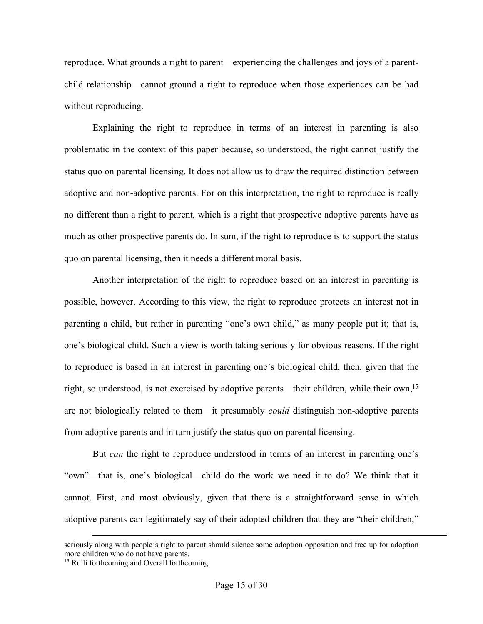reproduce. What grounds a right to parent—experiencing the challenges and joys of a parentchild relationship—cannot ground a right to reproduce when those experiences can be had without reproducing.

Explaining the right to reproduce in terms of an interest in parenting is also problematic in the context of this paper because, so understood, the right cannot justify the status quo on parental licensing. It does not allow us to draw the required distinction between adoptive and non-adoptive parents. For on this interpretation, the right to reproduce is really no different than a right to parent, which is a right that prospective adoptive parents have as much as other prospective parents do. In sum, if the right to reproduce is to support the status quo on parental licensing, then it needs a different moral basis.

Another interpretation of the right to reproduce based on an interest in parenting is possible, however. According to this view, the right to reproduce protects an interest not in parenting a child, but rather in parenting "one's own child," as many people put it; that is, one's biological child. Such a view is worth taking seriously for obvious reasons. If the right to reproduce is based in an interest in parenting one's biological child, then, given that the right, so understood, is not exercised by adoptive parents—their children, while their own,<sup>15</sup> are not biologically related to them—it presumably *could* distinguish non-adoptive parents from adoptive parents and in turn justify the status quo on parental licensing.

But *can* the right to reproduce understood in terms of an interest in parenting one's "own"—that is, one's biological—child do the work we need it to do? We think that it cannot. First, and most obviously, given that there is a straightforward sense in which adoptive parents can legitimately say of their adopted children that they are "their children,"

<u>.</u>

seriously along with people's right to parent should silence some adoption opposition and free up for adoption more children who do not have parents.

<sup>15</sup> Rulli forthcoming and Overall forthcoming.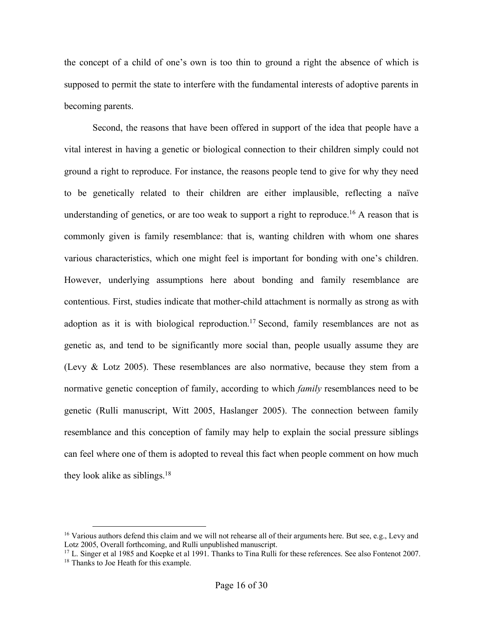the concept of a child of one's own is too thin to ground a right the absence of which is supposed to permit the state to interfere with the fundamental interests of adoptive parents in becoming parents.

Second, the reasons that have been offered in support of the idea that people have a vital interest in having a genetic or biological connection to their children simply could not ground a right to reproduce. For instance, the reasons people tend to give for why they need to be genetically related to their children are either implausible, reflecting a naïve understanding of genetics, or are too weak to support a right to reproduce.<sup>16</sup> A reason that is commonly given is family resemblance: that is, wanting children with whom one shares various characteristics, which one might feel is important for bonding with one's children. However, underlying assumptions here about bonding and family resemblance are contentious. First, studies indicate that mother-child attachment is normally as strong as with adoption as it is with biological reproduction.<sup>17</sup> Second, family resemblances are not as genetic as, and tend to be significantly more social than, people usually assume they are (Levy & Lotz 2005). These resemblances are also normative, because they stem from a normative genetic conception of family, according to which *family* resemblances need to be genetic (Rulli manuscript, Witt 2005, Haslanger 2005). The connection between family resemblance and this conception of family may help to explain the social pressure siblings can feel where one of them is adopted to reveal this fact when people comment on how much they look alike as siblings.<sup>18</sup>

 $16$  Various authors defend this claim and we will not rehearse all of their arguments here. But see, e.g., Levy and Lotz 2005, Overall forthcoming, and Rulli unpublished manuscript.

<sup>&</sup>lt;sup>17</sup> L. Singer et al 1985 and Koepke et al 1991. Thanks to Tina Rulli for these references. See also Fontenot 2007. <sup>18</sup> Thanks to Joe Heath for this example.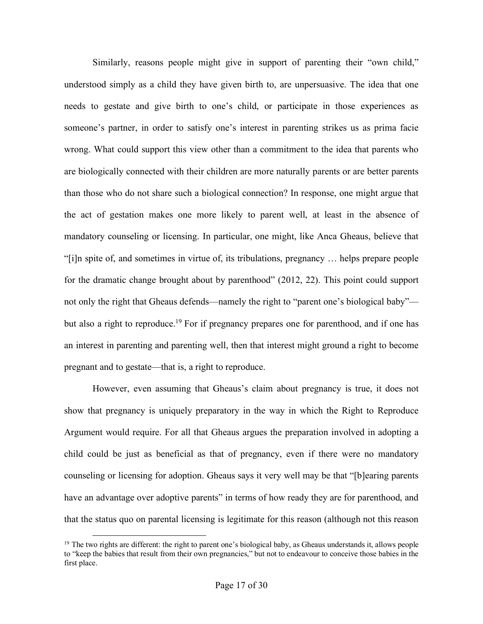Similarly, reasons people might give in support of parenting their "own child," understood simply as a child they have given birth to, are unpersuasive. The idea that one needs to gestate and give birth to one's child, or participate in those experiences as someone's partner, in order to satisfy one's interest in parenting strikes us as prima facie wrong. What could support this view other than a commitment to the idea that parents who are biologically connected with their children are more naturally parents or are better parents than those who do not share such a biological connection? In response, one might argue that the act of gestation makes one more likely to parent well, at least in the absence of mandatory counseling or licensing. In particular, one might, like Anca Gheaus, believe that "[i]n spite of, and sometimes in virtue of, its tribulations, pregnancy … helps prepare people for the dramatic change brought about by parenthood" (2012, 22). This point could support not only the right that Gheaus defends—namely the right to "parent one's biological baby" but also a right to reproduce.<sup>19</sup> For if pregnancy prepares one for parenthood, and if one has an interest in parenting and parenting well, then that interest might ground a right to become pregnant and to gestate—that is, a right to reproduce.

However, even assuming that Gheaus's claim about pregnancy is true, it does not show that pregnancy is uniquely preparatory in the way in which the Right to Reproduce Argument would require. For all that Gheaus argues the preparation involved in adopting a child could be just as beneficial as that of pregnancy, even if there were no mandatory counseling or licensing for adoption. Gheaus says it very well may be that "[b]earing parents have an advantage over adoptive parents" in terms of how ready they are for parenthood, and that the status quo on parental licensing is legitimate for this reason (although not this reason

<sup>&</sup>lt;sup>19</sup> The two rights are different: the right to parent one's biological baby, as Gheaus understands it, allows people to "keep the babies that result from their own pregnancies," but not to endeavour to conceive those babies in the first place.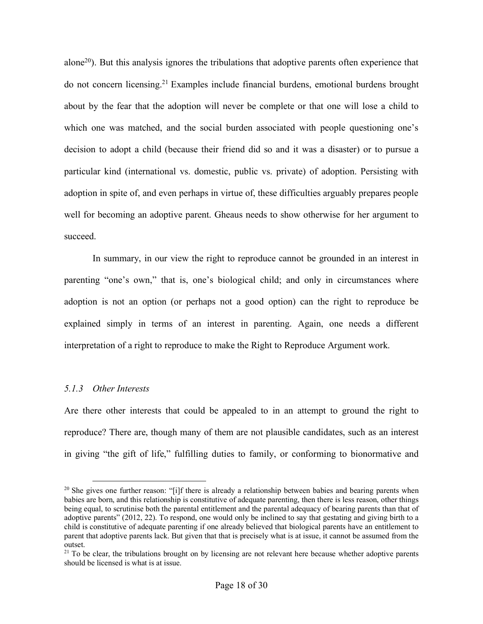alone<sup>20</sup>). But this analysis ignores the tribulations that adoptive parents often experience that do not concern licensing.21 Examples include financial burdens, emotional burdens brought about by the fear that the adoption will never be complete or that one will lose a child to which one was matched, and the social burden associated with people questioning one's decision to adopt a child (because their friend did so and it was a disaster) or to pursue a particular kind (international vs. domestic, public vs. private) of adoption. Persisting with adoption in spite of, and even perhaps in virtue of, these difficulties arguably prepares people well for becoming an adoptive parent. Gheaus needs to show otherwise for her argument to succeed.

In summary, in our view the right to reproduce cannot be grounded in an interest in parenting "one's own," that is, one's biological child; and only in circumstances where adoption is not an option (or perhaps not a good option) can the right to reproduce be explained simply in terms of an interest in parenting. Again, one needs a different interpretation of a right to reproduce to make the Right to Reproduce Argument work.

# *5.1.3 Other Interests*

Are there other interests that could be appealed to in an attempt to ground the right to reproduce? There are, though many of them are not plausible candidates, such as an interest in giving "the gift of life," fulfilling duties to family, or conforming to bionormative and

<sup>&</sup>lt;sup>20</sup> She gives one further reason: "[i]f there is already a relationship between babies and bearing parents when babies are born, and this relationship is constitutive of adequate parenting, then there is less reason, other things being equal, to scrutinise both the parental entitlement and the parental adequacy of bearing parents than that of adoptive parents" (2012, 22). To respond, one would only be inclined to say that gestating and giving birth to a child is constitutive of adequate parenting if one already believed that biological parents have an entitlement to parent that adoptive parents lack. But given that that is precisely what is at issue, it cannot be assumed from the outset.

 $21$  To be clear, the tribulations brought on by licensing are not relevant here because whether adoptive parents should be licensed is what is at issue.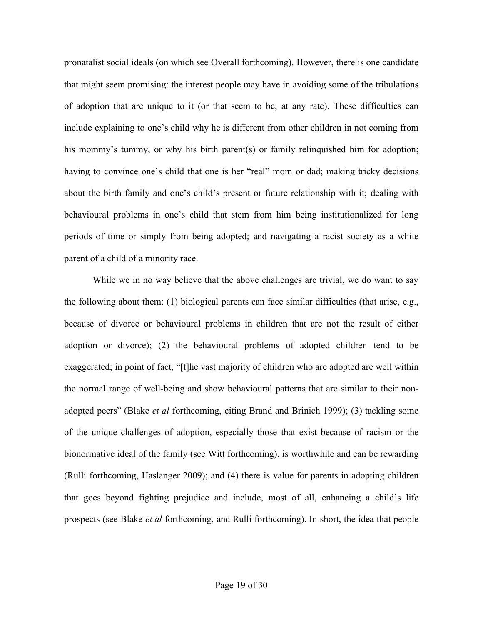pronatalist social ideals (on which see Overall forthcoming). However, there is one candidate that might seem promising: the interest people may have in avoiding some of the tribulations of adoption that are unique to it (or that seem to be, at any rate). These difficulties can include explaining to one's child why he is different from other children in not coming from his mommy's tummy, or why his birth parent(s) or family relinquished him for adoption; having to convince one's child that one is her "real" mom or dad; making tricky decisions about the birth family and one's child's present or future relationship with it; dealing with behavioural problems in one's child that stem from him being institutionalized for long periods of time or simply from being adopted; and navigating a racist society as a white parent of a child of a minority race.

While we in no way believe that the above challenges are trivial, we do want to say the following about them: (1) biological parents can face similar difficulties (that arise, e.g., because of divorce or behavioural problems in children that are not the result of either adoption or divorce); (2) the behavioural problems of adopted children tend to be exaggerated; in point of fact, "[t]he vast majority of children who are adopted are well within the normal range of well-being and show behavioural patterns that are similar to their nonadopted peers" (Blake *et al* forthcoming, citing Brand and Brinich 1999); (3) tackling some of the unique challenges of adoption, especially those that exist because of racism or the bionormative ideal of the family (see Witt forthcoming), is worthwhile and can be rewarding (Rulli forthcoming, Haslanger 2009); and (4) there is value for parents in adopting children that goes beyond fighting prejudice and include, most of all, enhancing a child's life prospects (see Blake *et al* forthcoming, and Rulli forthcoming). In short, the idea that people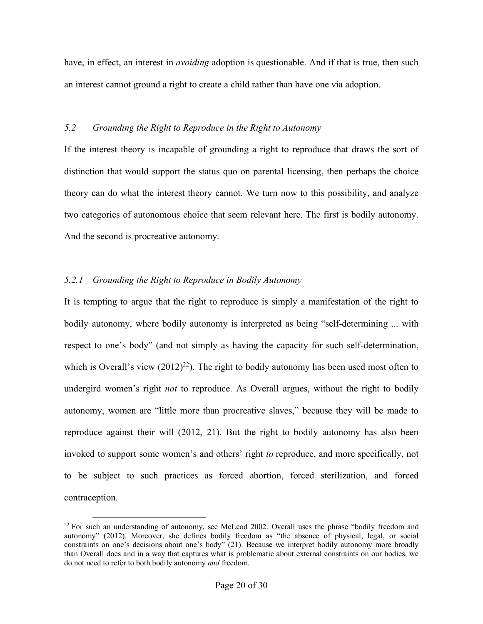have, in effect, an interest in *avoiding* adoption is questionable. And if that is true, then such an interest cannot ground a right to create a child rather than have one via adoption.

# *5.2 Grounding the Right to Reproduce in the Right to Autonomy*

If the interest theory is incapable of grounding a right to reproduce that draws the sort of distinction that would support the status quo on parental licensing, then perhaps the choice theory can do what the interest theory cannot. We turn now to this possibility, and analyze two categories of autonomous choice that seem relevant here. The first is bodily autonomy. And the second is procreative autonomy.

# *5.2.1 Grounding the Right to Reproduce in Bodily Autonomy*

It is tempting to argue that the right to reproduce is simply a manifestation of the right to bodily autonomy, where bodily autonomy is interpreted as being "self-determining ... with respect to one's body" (and not simply as having the capacity for such self-determination, which is Overall's view  $(2012)^{22}$ ). The right to bodily autonomy has been used most often to undergird women's right *not* to reproduce. As Overall argues, without the right to bodily autonomy, women are "little more than procreative slaves," because they will be made to reproduce against their will (2012, 21). But the right to bodily autonomy has also been invoked to support some women's and others' right *to* reproduce, and more specifically, not to be subject to such practices as forced abortion, forced sterilization, and forced contraception.

 $22$  For such an understanding of autonomy, see McLeod 2002. Overall uses the phrase "bodily freedom and autonomy" (2012). Moreover, she defines bodily freedom as "the absence of physical, legal, or social constraints on one's decisions about one's body" (21). Because we interpret bodily autonomy more broadly than Overall does and in a way that captures what is problematic about external constraints on our bodies, we do not need to refer to both bodily autonomy *and* freedom.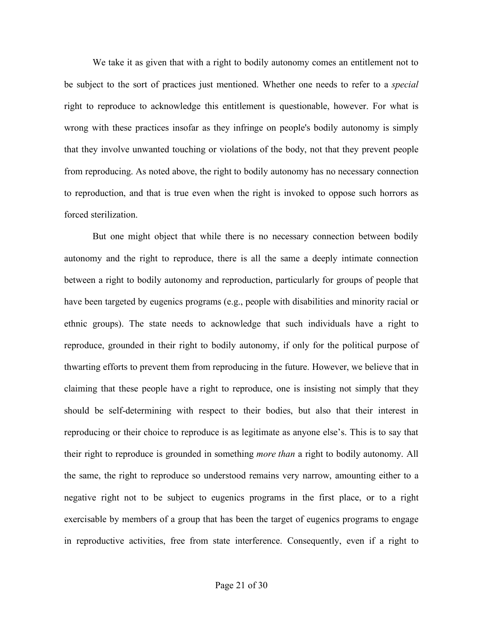We take it as given that with a right to bodily autonomy comes an entitlement not to be subject to the sort of practices just mentioned. Whether one needs to refer to a *special* right to reproduce to acknowledge this entitlement is questionable, however. For what is wrong with these practices insofar as they infringe on people's bodily autonomy is simply that they involve unwanted touching or violations of the body, not that they prevent people from reproducing. As noted above, the right to bodily autonomy has no necessary connection to reproduction, and that is true even when the right is invoked to oppose such horrors as forced sterilization.

But one might object that while there is no necessary connection between bodily autonomy and the right to reproduce, there is all the same a deeply intimate connection between a right to bodily autonomy and reproduction, particularly for groups of people that have been targeted by eugenics programs (e.g., people with disabilities and minority racial or ethnic groups). The state needs to acknowledge that such individuals have a right to reproduce, grounded in their right to bodily autonomy, if only for the political purpose of thwarting efforts to prevent them from reproducing in the future. However, we believe that in claiming that these people have a right to reproduce, one is insisting not simply that they should be self-determining with respect to their bodies, but also that their interest in reproducing or their choice to reproduce is as legitimate as anyone else's. This is to say that their right to reproduce is grounded in something *more than* a right to bodily autonomy. All the same, the right to reproduce so understood remains very narrow, amounting either to a negative right not to be subject to eugenics programs in the first place, or to a right exercisable by members of a group that has been the target of eugenics programs to engage in reproductive activities, free from state interference. Consequently, even if a right to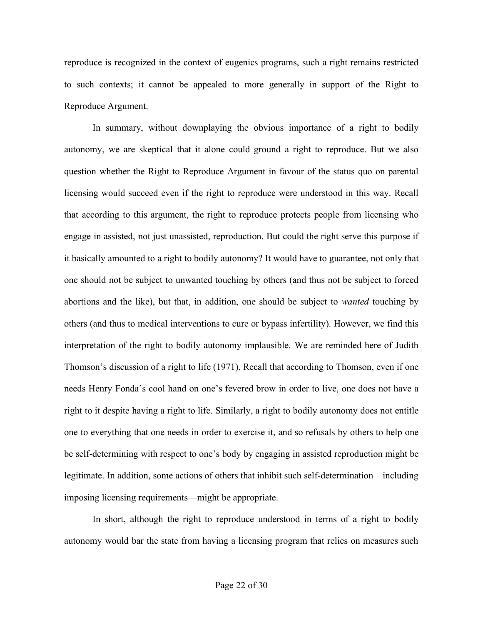reproduce is recognized in the context of eugenics programs, such a right remains restricted to such contexts; it cannot be appealed to more generally in support of the Right to Reproduce Argument.

In summary, without downplaying the obvious importance of a right to bodily autonomy, we are skeptical that it alone could ground a right to reproduce. But we also question whether the Right to Reproduce Argument in favour of the status quo on parental licensing would succeed even if the right to reproduce were understood in this way. Recall that according to this argument, the right to reproduce protects people from licensing who engage in assisted, not just unassisted, reproduction. But could the right serve this purpose if it basically amounted to a right to bodily autonomy? It would have to guarantee, not only that one should not be subject to unwanted touching by others (and thus not be subject to forced abortions and the like), but that, in addition, one should be subject to *wanted* touching by others (and thus to medical interventions to cure or bypass infertility). However, we find this interpretation of the right to bodily autonomy implausible. We are reminded here of Judith Thomson's discussion of a right to life (1971). Recall that according to Thomson, even if one needs Henry Fonda's cool hand on one's fevered brow in order to live, one does not have a right to it despite having a right to life. Similarly, a right to bodily autonomy does not entitle one to everything that one needs in order to exercise it, and so refusals by others to help one be self-determining with respect to one's body by engaging in assisted reproduction might be legitimate. In addition, some actions of others that inhibit such self-determination—including imposing licensing requirements—might be appropriate.

In short, although the right to reproduce understood in terms of a right to bodily autonomy would bar the state from having a licensing program that relies on measures such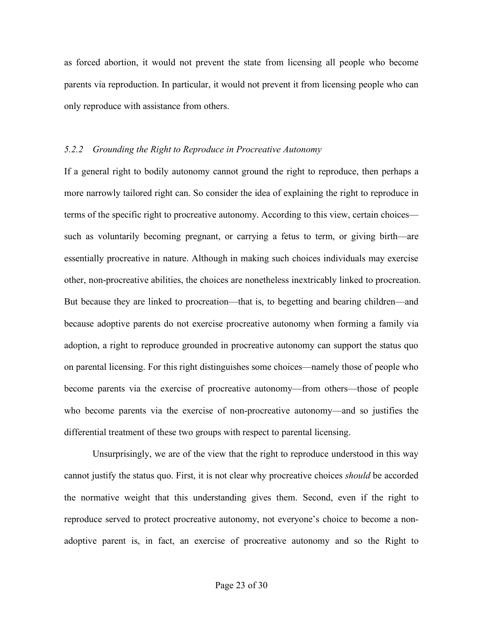as forced abortion, it would not prevent the state from licensing all people who become parents via reproduction. In particular, it would not prevent it from licensing people who can only reproduce with assistance from others.

# *5.2.2 Grounding the Right to Reproduce in Procreative Autonomy*

If a general right to bodily autonomy cannot ground the right to reproduce, then perhaps a more narrowly tailored right can. So consider the idea of explaining the right to reproduce in terms of the specific right to procreative autonomy. According to this view, certain choices such as voluntarily becoming pregnant, or carrying a fetus to term, or giving birth—are essentially procreative in nature. Although in making such choices individuals may exercise other, non-procreative abilities, the choices are nonetheless inextricably linked to procreation. But because they are linked to procreation—that is, to begetting and bearing children—and because adoptive parents do not exercise procreative autonomy when forming a family via adoption, a right to reproduce grounded in procreative autonomy can support the status quo on parental licensing. For this right distinguishes some choices—namely those of people who become parents via the exercise of procreative autonomy—from others—those of people who become parents via the exercise of non-procreative autonomy—and so justifies the differential treatment of these two groups with respect to parental licensing.

Unsurprisingly, we are of the view that the right to reproduce understood in this way cannot justify the status quo. First, it is not clear why procreative choices *should* be accorded the normative weight that this understanding gives them. Second, even if the right to reproduce served to protect procreative autonomy, not everyone's choice to become a nonadoptive parent is, in fact, an exercise of procreative autonomy and so the Right to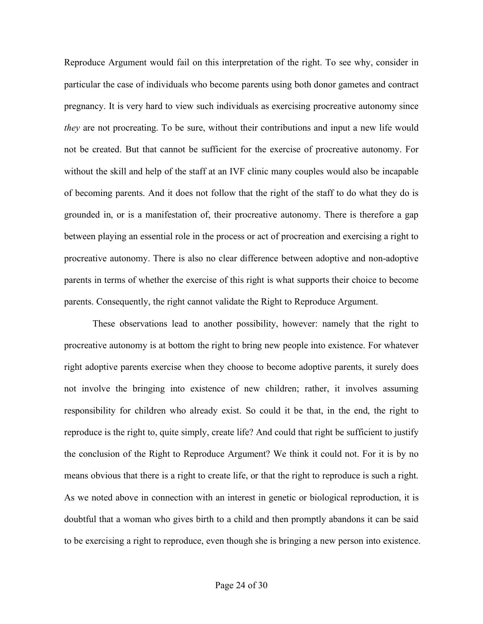Reproduce Argument would fail on this interpretation of the right. To see why, consider in particular the case of individuals who become parents using both donor gametes and contract pregnancy. It is very hard to view such individuals as exercising procreative autonomy since *they* are not procreating. To be sure, without their contributions and input a new life would not be created. But that cannot be sufficient for the exercise of procreative autonomy. For without the skill and help of the staff at an IVF clinic many couples would also be incapable of becoming parents. And it does not follow that the right of the staff to do what they do is grounded in, or is a manifestation of, their procreative autonomy. There is therefore a gap between playing an essential role in the process or act of procreation and exercising a right to procreative autonomy. There is also no clear difference between adoptive and non-adoptive parents in terms of whether the exercise of this right is what supports their choice to become parents. Consequently, the right cannot validate the Right to Reproduce Argument.

These observations lead to another possibility, however: namely that the right to procreative autonomy is at bottom the right to bring new people into existence. For whatever right adoptive parents exercise when they choose to become adoptive parents, it surely does not involve the bringing into existence of new children; rather, it involves assuming responsibility for children who already exist. So could it be that, in the end, the right to reproduce is the right to, quite simply, create life? And could that right be sufficient to justify the conclusion of the Right to Reproduce Argument? We think it could not. For it is by no means obvious that there is a right to create life, or that the right to reproduce is such a right. As we noted above in connection with an interest in genetic or biological reproduction, it is doubtful that a woman who gives birth to a child and then promptly abandons it can be said to be exercising a right to reproduce, even though she is bringing a new person into existence.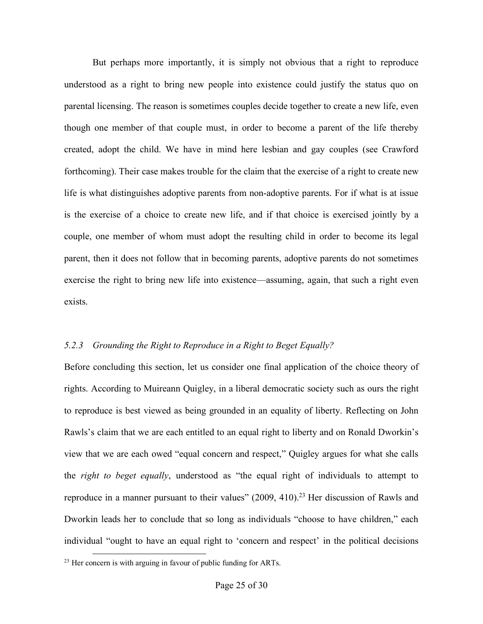But perhaps more importantly, it is simply not obvious that a right to reproduce understood as a right to bring new people into existence could justify the status quo on parental licensing. The reason is sometimes couples decide together to create a new life, even though one member of that couple must, in order to become a parent of the life thereby created, adopt the child. We have in mind here lesbian and gay couples (see Crawford forthcoming). Their case makes trouble for the claim that the exercise of a right to create new life is what distinguishes adoptive parents from non-adoptive parents. For if what is at issue is the exercise of a choice to create new life, and if that choice is exercised jointly by a couple, one member of whom must adopt the resulting child in order to become its legal parent, then it does not follow that in becoming parents, adoptive parents do not sometimes exercise the right to bring new life into existence—assuming, again, that such a right even exists.

# *5.2.3 Grounding the Right to Reproduce in a Right to Beget Equally?*

Before concluding this section, let us consider one final application of the choice theory of rights. According to Muireann Quigley, in a liberal democratic society such as ours the right to reproduce is best viewed as being grounded in an equality of liberty. Reflecting on John Rawls's claim that we are each entitled to an equal right to liberty and on Ronald Dworkin's view that we are each owed "equal concern and respect," Quigley argues for what she calls the *right to beget equally*, understood as "the equal right of individuals to attempt to reproduce in a manner pursuant to their values"  $(2009, 410)$ .<sup>23</sup> Her discussion of Rawls and Dworkin leads her to conclude that so long as individuals "choose to have children," each individual "ought to have an equal right to 'concern and respect' in the political decisions

 <sup>23</sup> Her concern is with arguing in favour of public funding for ARTs.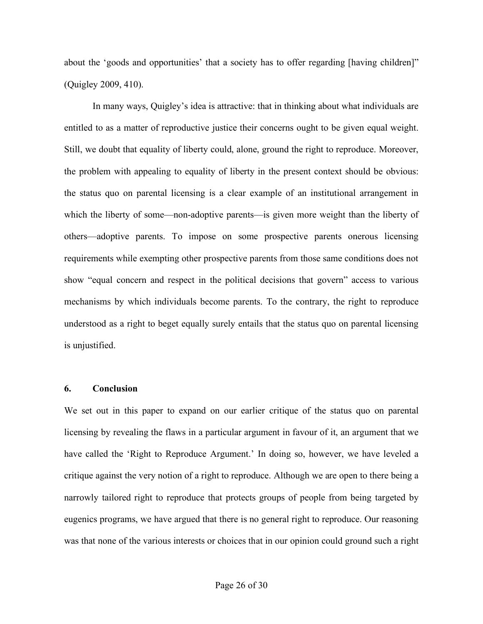about the 'goods and opportunities' that a society has to offer regarding [having children]" (Quigley 2009, 410).

In many ways, Quigley's idea is attractive: that in thinking about what individuals are entitled to as a matter of reproductive justice their concerns ought to be given equal weight. Still, we doubt that equality of liberty could, alone, ground the right to reproduce. Moreover, the problem with appealing to equality of liberty in the present context should be obvious: the status quo on parental licensing is a clear example of an institutional arrangement in which the liberty of some—non-adoptive parents—is given more weight than the liberty of others—adoptive parents. To impose on some prospective parents onerous licensing requirements while exempting other prospective parents from those same conditions does not show "equal concern and respect in the political decisions that govern" access to various mechanisms by which individuals become parents. To the contrary, the right to reproduce understood as a right to beget equally surely entails that the status quo on parental licensing is unjustified.

#### **6. Conclusion**

We set out in this paper to expand on our earlier critique of the status quo on parental licensing by revealing the flaws in a particular argument in favour of it, an argument that we have called the 'Right to Reproduce Argument.' In doing so, however, we have leveled a critique against the very notion of a right to reproduce. Although we are open to there being a narrowly tailored right to reproduce that protects groups of people from being targeted by eugenics programs, we have argued that there is no general right to reproduce. Our reasoning was that none of the various interests or choices that in our opinion could ground such a right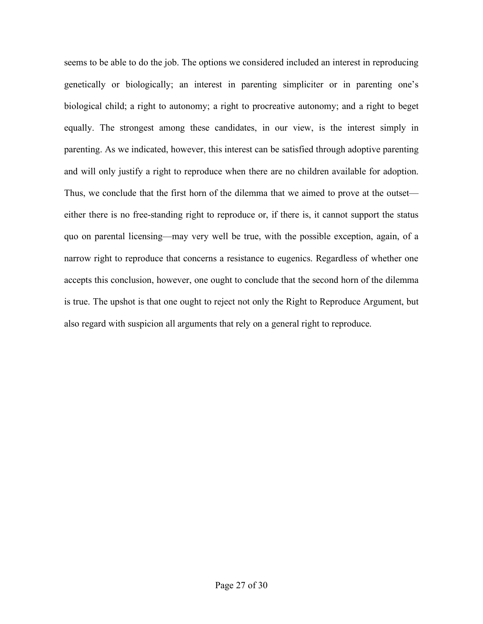seems to be able to do the job. The options we considered included an interest in reproducing genetically or biologically; an interest in parenting simpliciter or in parenting one's biological child; a right to autonomy; a right to procreative autonomy; and a right to beget equally. The strongest among these candidates, in our view, is the interest simply in parenting. As we indicated, however, this interest can be satisfied through adoptive parenting and will only justify a right to reproduce when there are no children available for adoption. Thus, we conclude that the first horn of the dilemma that we aimed to prove at the outset either there is no free-standing right to reproduce or, if there is, it cannot support the status quo on parental licensing—may very well be true, with the possible exception, again, of a narrow right to reproduce that concerns a resistance to eugenics. Regardless of whether one accepts this conclusion, however, one ought to conclude that the second horn of the dilemma is true. The upshot is that one ought to reject not only the Right to Reproduce Argument, but also regard with suspicion all arguments that rely on a general right to reproduce.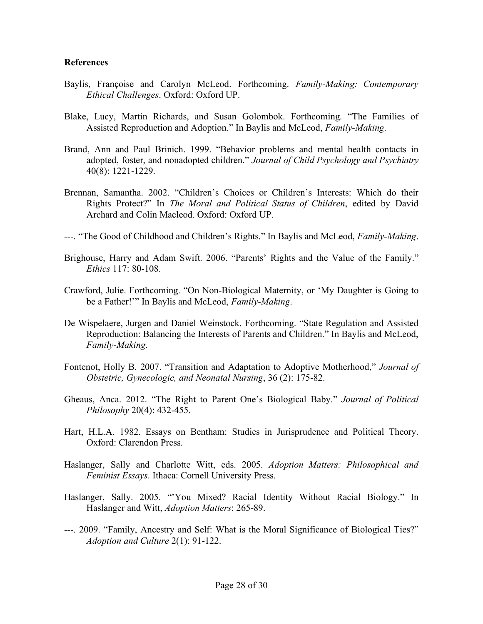#### **References**

- Baylis, Françoise and Carolyn McLeod. Forthcoming. *Family-Making: Contemporary Ethical Challenges*. Oxford: Oxford UP.
- Blake, Lucy, Martin Richards, and Susan Golombok. Forthcoming. "The Families of Assisted Reproduction and Adoption." In Baylis and McLeod, *Family-Making*.
- Brand, Ann and Paul Brinich. 1999. "Behavior problems and mental health contacts in adopted, foster, and nonadopted children." *Journal of Child Psychology and Psychiatry* 40(8): 1221-1229.
- Brennan, Samantha. 2002. "Children's Choices or Children's Interests: Which do their Rights Protect?" In *The Moral and Political Status of Children*, edited by David Archard and Colin Macleod. Oxford: Oxford UP.
- ---. "The Good of Childhood and Children's Rights." In Baylis and McLeod, *Family-Making*.
- Brighouse, Harry and Adam Swift. 2006. "Parents' Rights and the Value of the Family." *Ethics* 117: 80-108.
- Crawford, Julie. Forthcoming. "On Non-Biological Maternity, or 'My Daughter is Going to be a Father!'" In Baylis and McLeod, *Family-Making*.
- De Wispelaere, Jurgen and Daniel Weinstock. Forthcoming. "State Regulation and Assisted Reproduction: Balancing the Interests of Parents and Children." In Baylis and McLeod, *Family-Making*.
- Fontenot, Holly B. 2007. "Transition and Adaptation to Adoptive Motherhood," *Journal of Obstetric, Gynecologic, and Neonatal Nursing*, 36 (2): 175-82.
- Gheaus, Anca. 2012. "The Right to Parent One's Biological Baby." *Journal of Political Philosophy* 20(4): 432-455.
- Hart, H.L.A. 1982. Essays on Bentham: Studies in Jurisprudence and Political Theory. Oxford: Clarendon Press.
- Haslanger, Sally and Charlotte Witt, eds. 2005. *Adoption Matters: Philosophical and Feminist Essays*. Ithaca: Cornell University Press.
- Haslanger, Sally. 2005. "'You Mixed? Racial Identity Without Racial Biology." In Haslanger and Witt, *Adoption Matters*: 265-89.
- ---. 2009. "Family, Ancestry and Self: What is the Moral Significance of Biological Ties?" *Adoption and Culture* 2(1): 91-122.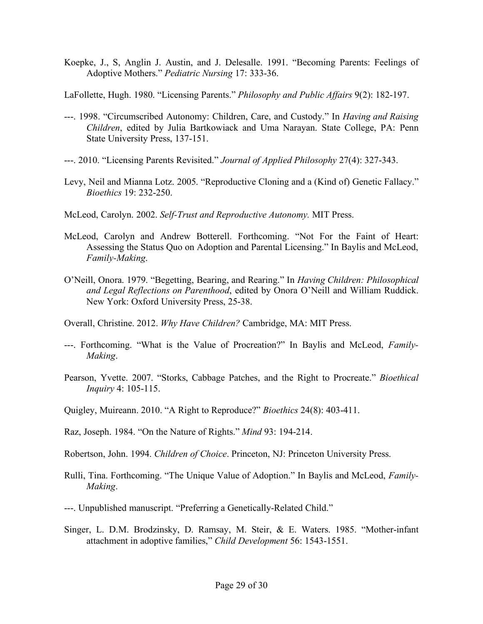- Koepke, J., S, Anglin J. Austin, and J. Delesalle. 1991. "Becoming Parents: Feelings of Adoptive Mothers." *Pediatric Nursing* 17: 333-36.
- LaFollette, Hugh. 1980. "Licensing Parents." *Philosophy and Public Affairs* 9(2): 182-197.
- ---. 1998. "Circumscribed Autonomy: Children, Care, and Custody." In *Having and Raising Children*, edited by Julia Bartkowiack and Uma Narayan. State College, PA: Penn State University Press, 137-151.
- ---. 2010. "Licensing Parents Revisited." *Journal of Applied Philosophy* 27(4): 327-343.
- Levy, Neil and Mianna Lotz. 2005. "Reproductive Cloning and a (Kind of) Genetic Fallacy." *Bioethics* 19: 232-250.
- McLeod, Carolyn. 2002. *Self-Trust and Reproductive Autonomy.* MIT Press.
- McLeod, Carolyn and Andrew Botterell. Forthcoming. "Not For the Faint of Heart: Assessing the Status Quo on Adoption and Parental Licensing." In Baylis and McLeod, *Family-Making*.
- O'Neill, Onora. 1979. "Begetting, Bearing, and Rearing." In *Having Children: Philosophical and Legal Reflections on Parenthood*, edited by Onora O'Neill and William Ruddick. New York: Oxford University Press, 25-38.

Overall, Christine. 2012. *Why Have Children?* Cambridge, MA: MIT Press.

- ---. Forthcoming. "What is the Value of Procreation?" In Baylis and McLeod, *Family-Making*.
- Pearson, Yvette. 2007. "Storks, Cabbage Patches, and the Right to Procreate." *Bioethical Inquiry* 4: 105-115.
- Quigley, Muireann. 2010. "A Right to Reproduce?" *Bioethics* 24(8): 403-411.
- Raz, Joseph. 1984. "On the Nature of Rights." *Mind* 93: 194-214.
- Robertson, John. 1994. *Children of Choice*. Princeton, NJ: Princeton University Press.
- Rulli, Tina. Forthcoming. "The Unique Value of Adoption." In Baylis and McLeod, *Family-Making*.
- ---. Unpublished manuscript. "Preferring a Genetically-Related Child."
- Singer, L. D.M. Brodzinsky, D. Ramsay, M. Steir, & E. Waters. 1985. "Mother-infant attachment in adoptive families," *Child Development* 56: 1543-1551.